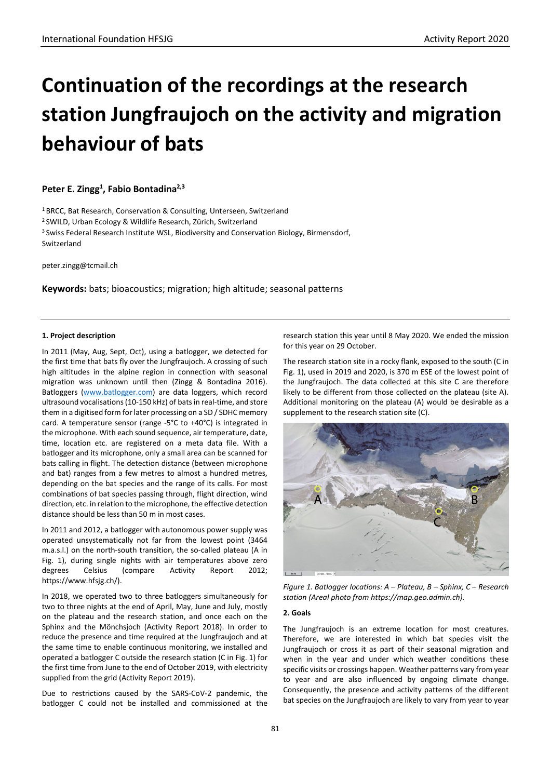# **Continuation of the recordings at the research station Jungfraujoch on the activity and migration behaviour of bats**

# Peter E. Zingg<sup>1</sup>, Fabio Bontadina<sup>2,3</sup>

1 BRCC, Bat Research, Conservation & Consulting, Unterseen, Switzerland 2 SWILD, Urban Ecology & Wildlife Research, Zürich, Switzerland <sup>3</sup> Swiss Federal Research Institute WSL, Biodiversity and Conservation Biology, Birmensdorf, Switzerland

peter.zingg@tcmail.ch

**Keywords:** bats; bioacoustics; migration; high altitude; seasonal patterns

#### **1. Project description**

In 2011 (May, Aug, Sept, Oct), using a batlogger, we detected for the first time that bats fly over the Jungfraujoch. A crossing of such high altitudes in the alpine region in connection with seasonal migration was unknown until then (Zingg & Bontadina 2016). Batloggers [\(www.batlogger.com\)](http://www.batlogger.com/) are data loggers, which record ultrasound vocalisations (10-150 kHz) of batsin real-time, and store them in a digitised form for later processing on a SD / SDHC memory card. A temperature sensor (range -5°C to +40°C) is integrated in the microphone. With each sound sequence, air temperature, date, time, location etc. are registered on a meta data file. With a batlogger and its microphone, only a small area can be scanned for bats calling in flight. The detection distance (between microphone and bat) ranges from a few metres to almost a hundred metres, depending on the bat species and the range of its calls. For most combinations of bat species passing through, flight direction, wind direction, etc. in relation to the microphone, the effective detection distance should be less than 50 m in most cases.

In 2011 and 2012, a batlogger with autonomous power supply was operated unsystematically not far from the lowest point (3464 m.a.s.l.) on the north-south transition, the so-called plateau (A in Fig. 1), during single nights with air temperatures above zero degrees Celsius (compare Activity Report 2012; https://www.hfsjg.ch/).

In 2018, we operated two to three batloggers simultaneously for two to three nights at the end of April, May, June and July, mostly on the plateau and the research station, and once each on the Sphinx and the Mönchsjoch (Activity Report 2018). In order to reduce the presence and time required at the Jungfraujoch and at the same time to enable continuous monitoring, we installed and operated a batlogger C outside the research station (C in Fig. 1) for the first time from June to the end of October 2019, with electricity supplied from the grid (Activity Report 2019).

Due to restrictions caused by the SARS-CoV-2 pandemic, the batlogger C could not be installed and commissioned at the research station this year until 8 May 2020. We ended the mission for this year on 29 October.

The research station site in a rocky flank, exposed to the south (C in Fig. 1), used in 2019 and 2020, is 370 m ESE of the lowest point of the Jungfraujoch. The data collected at this site C are therefore likely to be different from those collected on the plateau (site A). Additional monitoring on the plateau (A) would be desirable as a supplement to the research station site (C).



*Figure 1. Batlogger locations: A – Plateau, B – Sphinx, C – Research station (Areal photo from https://map.geo.admin.ch).*

#### **2. Goals**

The Jungfraujoch is an extreme location for most creatures. Therefore, we are interested in which bat species visit the Jungfraujoch or cross it as part of their seasonal migration and when in the year and under which weather conditions these specific visits or crossings happen. Weather patterns vary from year to year and are also influenced by ongoing climate change. Consequently, the presence and activity patterns of the different bat species on the Jungfraujoch are likely to vary from year to year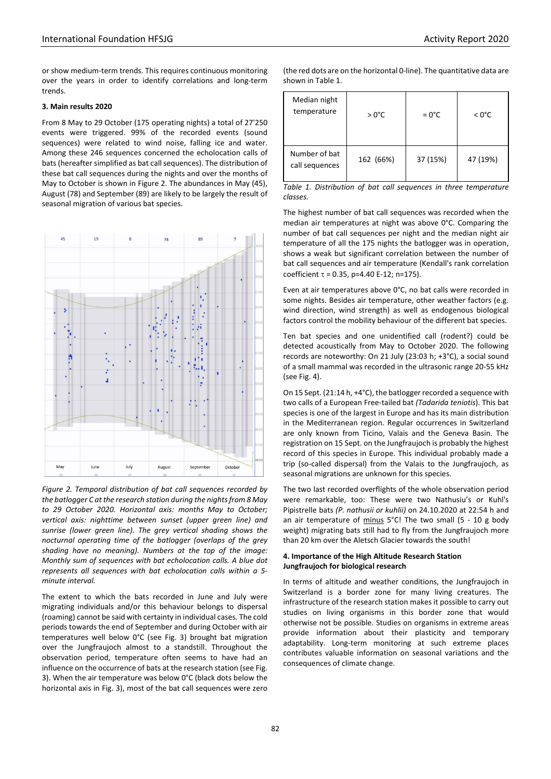or show medium-term trends. This requires continuous monitoring over the years in order to identify correlations and long-term trends.

# **3. Main results 2020**

From 8 May to 29 October (175 operating nights) a total of 27'250 events were triggered. 99% of the recorded events (sound sequences) were related to wind noise, falling ice and water. Among these 246 sequences concerned the echolocation calls of bats (hereafter simplified as bat call sequences). The distribution of these bat call sequences during the nights and over the months of May to October is shown in Figure 2. The abundances in May (45), August (78) and September (89) are likely to be largely the result of seasonal migration of various bat species.



*Figure 2. Temporal distribution of bat call sequences recorded by the batlogger C at the research station during the nights from 8 May to 29 October 2020. Horizontal axis: months May to October; vertical axis: nighttime between sunset (upper green line) and sunrise (lower green line). The grey vertical shading shows the nocturnal operating time of the batlogger (overlaps of the grey shading have no meaning). Numbers at the top of the image: Monthly sum of sequences with bat echolocation calls. A blue dot represents all sequences with bat echolocation calls within a 5 minute interval.*

The extent to which the bats recorded in June and July were migrating individuals and/or this behaviour belongs to dispersal (roaming) cannot be said with certainty in individual cases. The cold periods towards the end of September and during October with air temperatures well below 0°C (see Fig. 3) brought bat migration over the Jungfraujoch almost to a standstill. Throughout the observation period, temperature often seems to have had an influence on the occurrence of bats at the research station (see Fig. 3). When the air temperature was below 0°C (black dots below the horizontal axis in Fig. 3), most of the bat call sequences were zero

(the red dots are on the horizontal 0-line). The quantitative data are shown in Table 1.

| Median night<br>temperature     | $>0^{\circ}$ C | $= 0^{\circ}C$ | $< 0^{\circ}$ C |
|---------------------------------|----------------|----------------|-----------------|
| Number of bat<br>call sequences | 162 (66%)      | 37 (15%)       | 47 (19%)        |

*Table 1. Distribution of bat call sequences in three temperature classes.* 

The highest number of bat call sequences was recorded when the median air temperatures at night was above 0°C. Comparing the number of bat call sequences per night and the median night air temperature of all the 175 nights the batlogger was in operation, shows a weak but significant correlation between the number of bat call sequences and air temperature (Kendall's rank correlation coefficient τ = 0.35, p=4.40 E-12; n=175).

Even at air temperatures above 0°C, no bat calls were recorded in some nights. Besides air temperature, other weather factors (e.g. wind direction, wind strength) as well as endogenous biological factors control the mobility behaviour of the different bat species.

Ten bat species and one unidentified call (rodent?) could be detected acoustically from May to October 2020. The following records are noteworthy: On 21 July (23:03 h; +3°C), a social sound of a small mammal was recorded in the ultrasonic range 20-55 kHz (see Fig. 4).

On 15 Sept. (21:14 h, +4°C), the batlogger recorded a sequence with two calls of a European Free-tailed bat *(Tadarida teniotis*). This bat species is one of the largest in Europe and has its main distribution in the Mediterranean region. Regular occurrences in Switzerland are only known from Ticino, Valais and the Geneva Basin. The registration on 15 Sept. on the Jungfraujoch is probably the highest record of this species in Europe. This individual probably made a trip (so-called dispersal) from the Valais to the Jungfraujoch, as seasonal migrations are unknown for this species.

The two last recorded overflights of the whole observation period were remarkable, too: These were two Nathusiu's or Kuhl's Pipistrelle bats *(P. nathusii or kuhlii)* on 24.10.2020 at 22:54 h and an air temperature of minus 5°C! The two small (5 - 10 g body weight) migrating bats still had to fly from the Jungfraujoch more than 20 km over the Aletsch Glacier towards the south!

## **4. Importance of the High Altitude Research Station Jungfraujoch for biological research**

In terms of altitude and weather conditions, the Jungfraujoch in Switzerland is a border zone for many living creatures. The infrastructure of the research station makes it possible to carry out studies on living organisms in this border zone that would otherwise not be possible. Studies on organisms in extreme areas provide information about their plasticity and temporary adaptability. Long-term monitoring at such extreme places contributes valuable information on seasonal variations and the consequences of climate change.